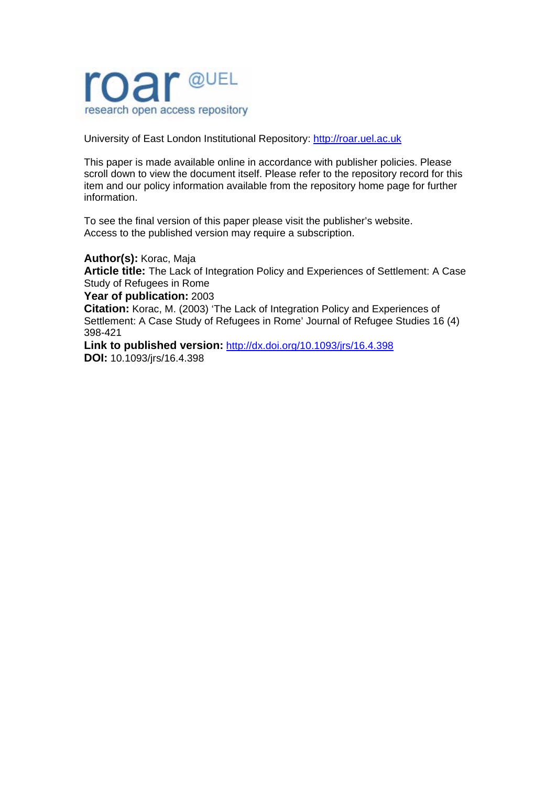

University of East London Institutional Repository: [http://roar.uel.ac.uk](http://roar.uel.ac.uk/) 

This paper is made available online in accordance with publisher policies. Please scroll down to view the document itself. Please refer to the repository record for this item and our policy information available from the repository home page for further information.

To see the final version of this paper please visit the publisher's website. Access to the published version may require a subscription.

**Author(s):** Korac, Maja **Article title:** The Lack of Integration Policy and Experiences of Settlement: A Case Study of Refugees in Rome **Year of publication:** 2003 **Citation:** Korac, M. (2003) 'The Lack of Integration Policy and Experiences of Settlement: A Case Study of Refugees in Rome' Journal of Refugee Studies 16 (4) 398-421

**Link to published version:** <http://dx.doi.org/10.1093/jrs/16.4.398> **DOI:** 10.1093/jrs/16.4.398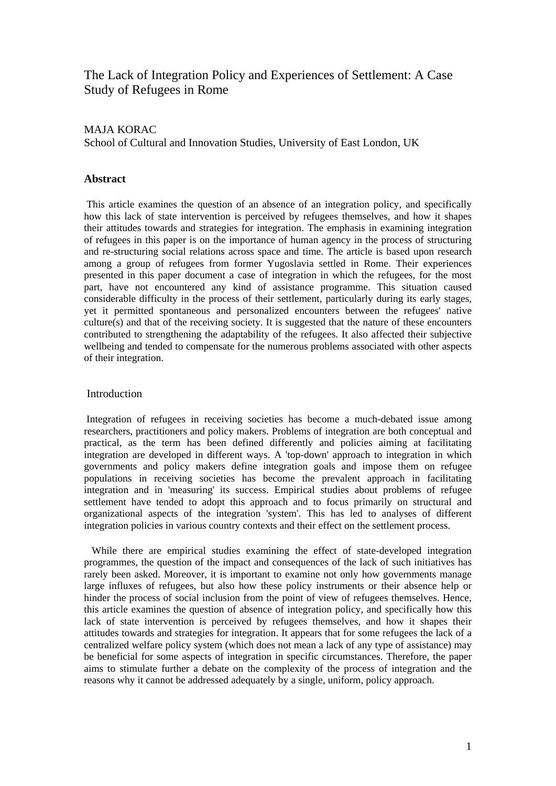# The Lack of Integration Policy and Experiences of Settlement: A Case Study of Refugees in Rome

# MAJA KORAC

School of Cultural and Innovation Studies, University of East London, UK

## **Abstract**

 This article examines the question of an absence of an integration policy, and specifically how this lack of state intervention is perceived by refugees themselves, and how it shapes their attitudes towards and strategies for integration. The emphasis in examining integration of refugees in this paper is on the importance of human agency in the process of structuring and re-structuring social relations across space and time. The article is based upon research among a group of refugees from former Yugoslavia settled in Rome. Their experiences presented in this paper document a case of integration in which the refugees, for the most part, have not encountered any kind of assistance programme. This situation caused considerable difficulty in the process of their settlement, particularly during its early stages, yet it permitted spontaneous and personalized encounters between the refugees' native culture(s) and that of the receiving society. It is suggested that the nature of these encounters contributed to strengthening the adaptability of the refugees. It also affected their subjective wellbeing and tended to compensate for the numerous problems associated with other aspects of their integration.

### Introduction

 Integration of refugees in receiving societies has become a much-debated issue among researchers, practitioners and policy makers. Problems of integration are both conceptual and practical, as the term has been defined differently and policies aiming at facilitating integration are developed in different ways. A 'top-down' approach to integration in which governments and policy makers define integration goals and impose them on refugee populations in receiving societies has become the prevalent approach in facilitating integration and in 'measuring' its success. Empirical studies about problems of refugee settlement have tended to adopt this approach and to focus primarily on structural and organizational aspects of the integration 'system'. This has led to analyses of different integration policies in various country contexts and their effect on the settlement process.

 While there are empirical studies examining the effect of state-developed integration programmes, the question of the impact and consequences of the lack of such initiatives has rarely been asked. Moreover, it is important to examine not only how governments manage large influxes of refugees, but also how these policy instruments or their absence help or hinder the process of social inclusion from the point of view of refugees themselves. Hence, this article examines the question of absence of integration policy, and specifically how this lack of state intervention is perceived by refugees themselves, and how it shapes their attitudes towards and strategies for integration. It appears that for some refugees the lack of a centralized welfare policy system (which does not mean a lack of any type of assistance) may be beneficial for some aspects of integration in specific circumstances. Therefore, the paper aims to stimulate further a debate on the complexity of the process of integration and the reasons why it cannot be addressed adequately by a single, uniform, policy approach.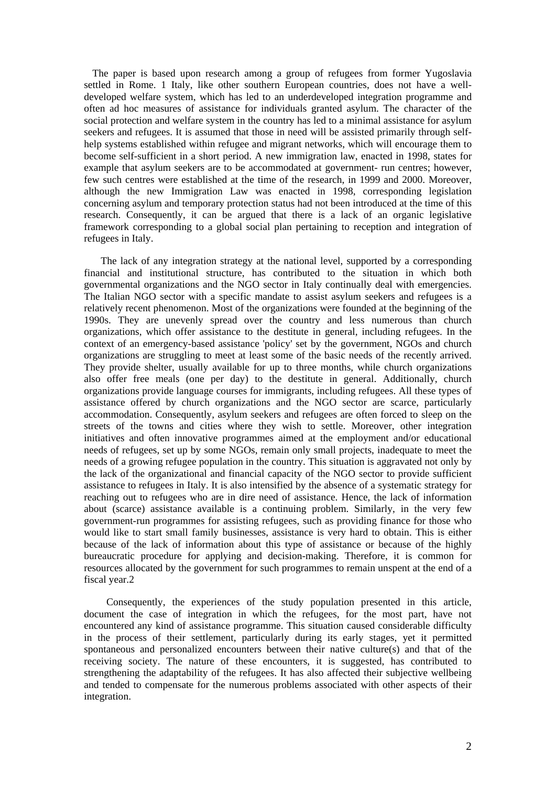The paper is based upon research among a group of refugees from former Yugoslavia settled in Rome. 1 Italy, like other southern European countries, does not have a welldeveloped welfare system, which has led to an underdeveloped integration programme and often ad hoc measures of assistance for individuals granted asylum. The character of the social protection and welfare system in the country has led to a minimal assistance for asylum seekers and refugees. It is assumed that those in need will be assisted primarily through selfhelp systems established within refugee and migrant networks, which will encourage them to become self-sufficient in a short period. A new immigration law, enacted in 1998, states for example that asylum seekers are to be accommodated at government- run centres; however, few such centres were established at the time of the research, in 1999 and 2000. Moreover, although the new Immigration Law was enacted in 1998, corresponding legislation concerning asylum and temporary protection status had not been introduced at the time of this research. Consequently, it can be argued that there is a lack of an organic legislative framework corresponding to a global social plan pertaining to reception and integration of refugees in Italy.

 The lack of any integration strategy at the national level, supported by a corresponding financial and institutional structure, has contributed to the situation in which both governmental organizations and the NGO sector in Italy continually deal with emergencies. The Italian NGO sector with a specific mandate to assist asylum seekers and refugees is a relatively recent phenomenon. Most of the organizations were founded at the beginning of the 1990s. They are unevenly spread over the country and less numerous than church organizations, which offer assistance to the destitute in general, including refugees. In the context of an emergency-based assistance 'policy' set by the government, NGOs and church organizations are struggling to meet at least some of the basic needs of the recently arrived. They provide shelter, usually available for up to three months, while church organizations also offer free meals (one per day) to the destitute in general. Additionally, church organizations provide language courses for immigrants, including refugees. All these types of assistance offered by church organizations and the NGO sector are scarce, particularly accommodation. Consequently, asylum seekers and refugees are often forced to sleep on the streets of the towns and cities where they wish to settle. Moreover, other integration initiatives and often innovative programmes aimed at the employment and/or educational needs of refugees, set up by some NGOs, remain only small projects, inadequate to meet the needs of a growing refugee population in the country. This situation is aggravated not only by the lack of the organizational and financial capacity of the NGO sector to provide sufficient assistance to refugees in Italy. It is also intensified by the absence of a systematic strategy for reaching out to refugees who are in dire need of assistance. Hence, the lack of information about (scarce) assistance available is a continuing problem. Similarly, in the very few government-run programmes for assisting refugees, such as providing finance for those who would like to start small family businesses, assistance is very hard to obtain. This is either because of the lack of information about this type of assistance or because of the highly bureaucratic procedure for applying and decision-making. Therefore, it is common for resources allocated by the government for such programmes to remain unspent at the end of a fiscal year.2

 Consequently, the experiences of the study population presented in this article, document the case of integration in which the refugees, for the most part, have not encountered any kind of assistance programme. This situation caused considerable difficulty in the process of their settlement, particularly during its early stages, yet it permitted spontaneous and personalized encounters between their native culture(s) and that of the receiving society. The nature of these encounters, it is suggested, has contributed to strengthening the adaptability of the refugees. It has also affected their subjective wellbeing and tended to compensate for the numerous problems associated with other aspects of their integration.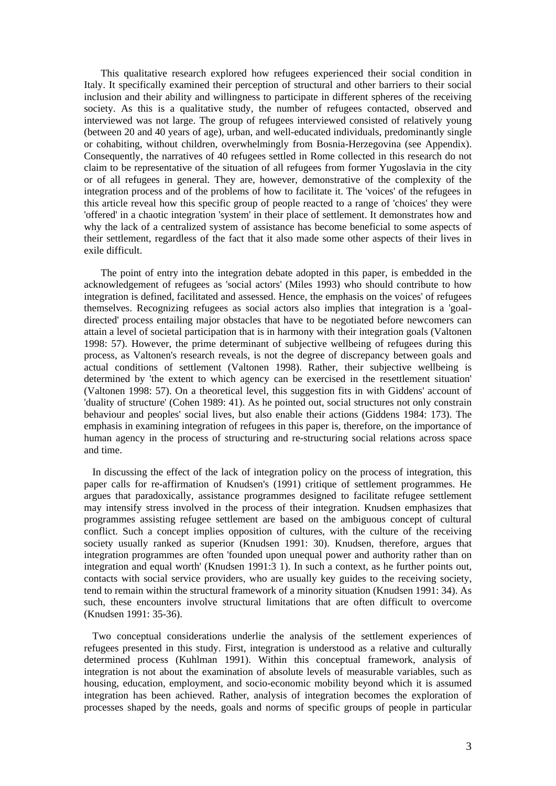This qualitative research explored how refugees experienced their social condition in Italy. It specifically examined their perception of structural and other barriers to their social inclusion and their ability and willingness to participate in different spheres of the receiving society. As this is a qualitative study, the number of refugees contacted, observed and interviewed was not large. The group of refugees interviewed consisted of relatively young (between 20 and 40 years of age), urban, and well-educated individuals, predominantly single or cohabiting, without children, overwhelmingly from Bosnia-Herzegovina (see Appendix). Consequently, the narratives of 40 refugees settled in Rome collected in this research do not claim to be representative of the situation of all refugees from former Yugoslavia in the city or of all refugees in general. They are, however, demonstrative of the complexity of the integration process and of the problems of how to facilitate it. The 'voices' of the refugees in this article reveal how this specific group of people reacted to a range of 'choices' they were 'offered' in a chaotic integration 'system' in their place of settlement. It demonstrates how and why the lack of a centralized system of assistance has become beneficial to some aspects of their settlement, regardless of the fact that it also made some other aspects of their lives in exile difficult.

 The point of entry into the integration debate adopted in this paper, is embedded in the acknowledgement of refugees as 'social actors' (Miles 1993) who should contribute to how integration is defined, facilitated and assessed. Hence, the emphasis on the voices' of refugees themselves. Recognizing refugees as social actors also implies that integration is a 'goaldirected' process entailing major obstacles that have to be negotiated before newcomers can attain a level of societal participation that is in harmony with their integration goals (Valtonen 1998: 57). However, the prime determinant of subjective wellbeing of refugees during this process, as Valtonen's research reveals, is not the degree of discrepancy between goals and actual conditions of settlement (Valtonen 1998). Rather, their subjective wellbeing is determined by 'the extent to which agency can be exercised in the resettlement situation' (Valtonen 1998: 57). On a theoretical level, this suggestion fits in with Giddens' account of 'duality of structure' (Cohen 1989: 41). As he pointed out, social structures not only constrain behaviour and peoples' social lives, but also enable their actions (Giddens 1984: 173). The emphasis in examining integration of refugees in this paper is, therefore, on the importance of human agency in the process of structuring and re-structuring social relations across space and time.

 In discussing the effect of the lack of integration policy on the process of integration, this paper calls for re-affirmation of Knudsen's (1991) critique of settlement programmes. He argues that paradoxically, assistance programmes designed to facilitate refugee settlement may intensify stress involved in the process of their integration. Knudsen emphasizes that programmes assisting refugee settlement are based on the ambiguous concept of cultural conflict. Such a concept implies opposition of cultures, with the culture of the receiving society usually ranked as superior (Knudsen 1991: 30). Knudsen, therefore, argues that integration programmes are often 'founded upon unequal power and authority rather than on integration and equal worth' (Knudsen 1991:3 1). In such a context, as he further points out, contacts with social service providers, who are usually key guides to the receiving society, tend to remain within the structural framework of a minority situation (Knudsen 1991: 34). As such, these encounters involve structural limitations that are often difficult to overcome (Knudsen 1991: 35-36).

 Two conceptual considerations underlie the analysis of the settlement experiences of refugees presented in this study. First, integration is understood as a relative and culturally determined process (Kuhlman 1991). Within this conceptual framework, analysis of integration is not about the examination of absolute levels of measurable variables, such as housing, education, employment, and socio-economic mobility beyond which it is assumed integration has been achieved. Rather, analysis of integration becomes the exploration of processes shaped by the needs, goals and norms of specific groups of people in particular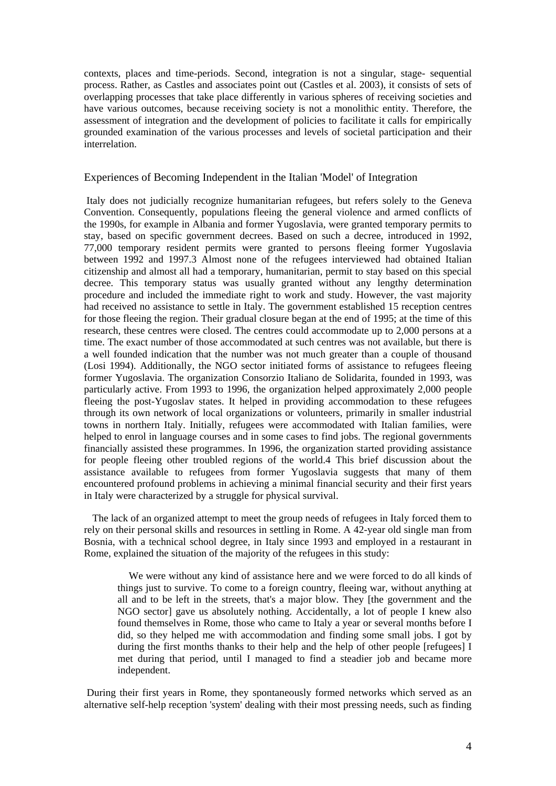contexts, places and time-periods. Second, integration is not a singular, stage- sequential process. Rather, as Castles and associates point out (Castles et al. 2003), it consists of sets of overlapping processes that take place differently in various spheres of receiving societies and have various outcomes, because receiving society is not a monolithic entity. Therefore, the assessment of integration and the development of policies to facilitate it calls for empirically grounded examination of the various processes and levels of societal participation and their interrelation.

#### Experiences of Becoming Independent in the Italian 'Model' of Integration

 Italy does not judicially recognize humanitarian refugees, but refers solely to the Geneva Convention. Consequently, populations fleeing the general violence and armed conflicts of the 1990s, for example in Albania and former Yugoslavia, were granted temporary permits to stay, based on specific government decrees. Based on such a decree, introduced in 1992, 77,000 temporary resident permits were granted to persons fleeing former Yugoslavia between 1992 and 1997.3 Almost none of the refugees interviewed had obtained Italian citizenship and almost all had a temporary, humanitarian, permit to stay based on this special decree. This temporary status was usually granted without any lengthy determination procedure and included the immediate right to work and study. However, the vast majority had received no assistance to settle in Italy. The government established 15 reception centres for those fleeing the region. Their gradual closure began at the end of 1995; at the time of this research, these centres were closed. The centres could accommodate up to 2,000 persons at a time. The exact number of those accommodated at such centres was not available, but there is a well founded indication that the number was not much greater than a couple of thousand (Losi 1994). Additionally, the NGO sector initiated forms of assistance to refugees fleeing former Yugoslavia. The organization Consorzio Italiano de Solidarita, founded in 1993, was particularly active. From 1993 to 1996, the organization helped approximately 2,000 people fleeing the post-Yugoslav states. It helped in providing accommodation to these refugees through its own network of local organizations or volunteers, primarily in smaller industrial towns in northern Italy. Initially, refugees were accommodated with Italian families, were helped to enrol in language courses and in some cases to find jobs. The regional governments financially assisted these programmes. In 1996, the organization started providing assistance for people fleeing other troubled regions of the world.4 This brief discussion about the assistance available to refugees from former Yugoslavia suggests that many of them encountered profound problems in achieving a minimal financial security and their first years in Italy were characterized by a struggle for physical survival.

 The lack of an organized attempt to meet the group needs of refugees in Italy forced them to rely on their personal skills and resources in settling in Rome. A 42-year old single man from Bosnia, with a technical school degree, in Italy since 1993 and employed in a restaurant in Rome, explained the situation of the majority of the refugees in this study:

 We were without any kind of assistance here and we were forced to do all kinds of things just to survive. To come to a foreign country, fleeing war, without anything at all and to be left in the streets, that's a major blow. They [the government and the NGO sector] gave us absolutely nothing. Accidentally, a lot of people I knew also found themselves in Rome, those who came to Italy a year or several months before I did, so they helped me with accommodation and finding some small jobs. I got by during the first months thanks to their help and the help of other people [refugees] I met during that period, until I managed to find a steadier job and became more independent.

During their first years in Rome, they spontaneously formed networks which served as an alternative self-help reception 'system' dealing with their most pressing needs, such as finding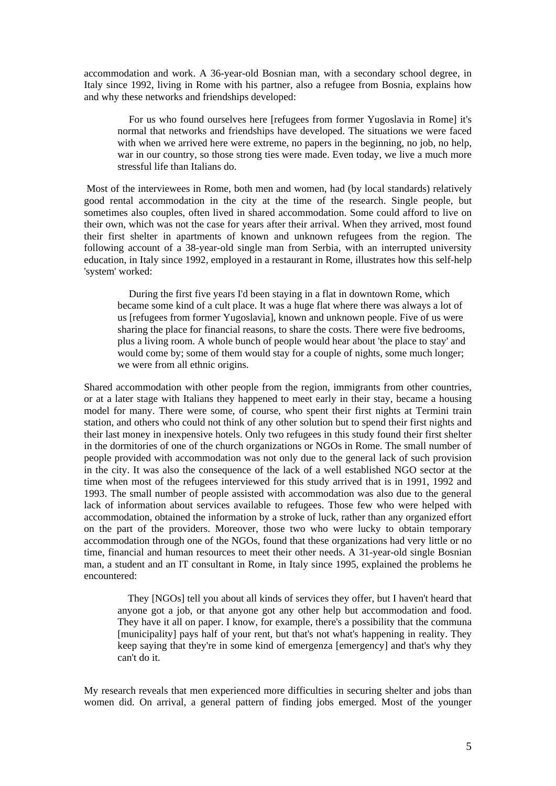accommodation and work. A 36-year-old Bosnian man, with a secondary school degree, in Italy since 1992, living in Rome with his partner, also a refugee from Bosnia, explains how and why these networks and friendships developed:

 For us who found ourselves here [refugees from former Yugoslavia in Rome] it's normal that networks and friendships have developed. The situations we were faced with when we arrived here were extreme, no papers in the beginning, no job, no help, war in our country, so those strong ties were made. Even today, we live a much more stressful life than Italians do.

 Most of the interviewees in Rome, both men and women, had (by local standards) relatively good rental accommodation in the city at the time of the research. Single people, but sometimes also couples, often lived in shared accommodation. Some could afford to live on their own, which was not the case for years after their arrival. When they arrived, most found their first shelter in apartments of known and unknown refugees from the region. The following account of a 38-year-old single man from Serbia, with an interrupted university education, in Italy since 1992, employed in a restaurant in Rome, illustrates how this self-help 'system' worked:

 During the first five years I'd been staying in a flat in downtown Rome, which became some kind of a cult place. It was a huge flat where there was always a lot of us [refugees from former Yugoslavia], known and unknown people. Five of us were sharing the place for financial reasons, to share the costs. There were five bedrooms, plus a living room. A whole bunch of people would hear about 'the place to stay' and would come by; some of them would stay for a couple of nights, some much longer; we were from all ethnic origins.

Shared accommodation with other people from the region, immigrants from other countries, or at a later stage with Italians they happened to meet early in their stay, became a housing model for many. There were some, of course, who spent their first nights at Termini train station, and others who could not think of any other solution but to spend their first nights and their last money in inexpensive hotels. Only two refugees in this study found their first shelter in the dormitories of one of the church organizations or NGOs in Rome. The small number of people provided with accommodation was not only due to the general lack of such provision in the city. It was also the consequence of the lack of a well established NGO sector at the time when most of the refugees interviewed for this study arrived that is in 1991, 1992 and 1993. The small number of people assisted with accommodation was also due to the general lack of information about services available to refugees. Those few who were helped with accommodation, obtained the information by a stroke of luck, rather than any organized effort on the part of the providers. Moreover, those two who were lucky to obtain temporary accommodation through one of the NGOs, found that these organizations had very little or no time, financial and human resources to meet their other needs. A 31-year-old single Bosnian man, a student and an IT consultant in Rome, in Italy since 1995, explained the problems he encountered:

 They [NGOs] tell you about all kinds of services they offer, but I haven't heard that anyone got a job, or that anyone got any other help but accommodation and food. They have it all on paper. I know, for example, there's a possibility that the communa [municipality] pays half of your rent, but that's not what's happening in reality. They keep saying that they're in some kind of emergenza [emergency] and that's why they can't do it.

My research reveals that men experienced more difficulties in securing shelter and jobs than women did. On arrival, a general pattern of finding jobs emerged. Most of the younger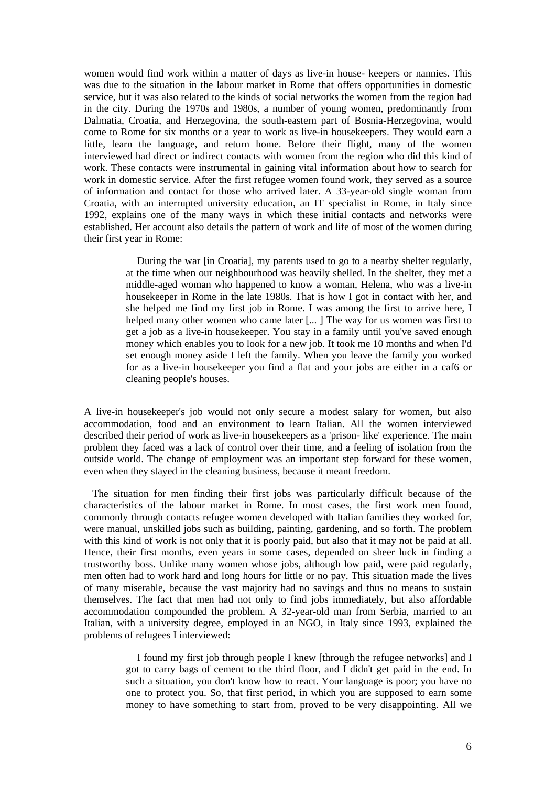women would find work within a matter of days as live-in house- keepers or nannies. This was due to the situation in the labour market in Rome that offers opportunities in domestic service, but it was also related to the kinds of social networks the women from the region had in the city. During the 1970s and 1980s, a number of young women, predominantly from Dalmatia, Croatia, and Herzegovina, the south-eastern part of Bosnia-Herzegovina, would come to Rome for six months or a year to work as live-in housekeepers. They would earn a little, learn the language, and return home. Before their flight, many of the women interviewed had direct or indirect contacts with women from the region who did this kind of work. These contacts were instrumental in gaining vital information about how to search for work in domestic service. After the first refugee women found work, they served as a source of information and contact for those who arrived later. A 33-year-old single woman from Croatia, with an interrupted university education, an IT specialist in Rome, in Italy since 1992, explains one of the many ways in which these initial contacts and networks were established. Her account also details the pattern of work and life of most of the women during their first year in Rome:

> During the war [in Croatia], my parents used to go to a nearby shelter regularly, at the time when our neighbourhood was heavily shelled. In the shelter, they met a middle-aged woman who happened to know a woman, Helena, who was a live-in housekeeper in Rome in the late 1980s. That is how I got in contact with her, and she helped me find my first job in Rome. I was among the first to arrive here, I helped many other women who came later [... ] The way for us women was first to get a job as a live-in housekeeper. You stay in a family until you've saved enough money which enables you to look for a new job. It took me 10 months and when I'd set enough money aside I left the family. When you leave the family you worked for as a live-in housekeeper you find a flat and your jobs are either in a caf6 or cleaning people's houses.

A live-in housekeeper's job would not only secure a modest salary for women, but also accommodation, food and an environment to learn Italian. All the women interviewed described their period of work as live-in housekeepers as a 'prison- like' experience. The main problem they faced was a lack of control over their time, and a feeling of isolation from the outside world. The change of employment was an important step forward for these women, even when they stayed in the cleaning business, because it meant freedom.

 The situation for men finding their first jobs was particularly difficult because of the characteristics of the labour market in Rome. In most cases, the first work men found, commonly through contacts refugee women developed with Italian families they worked for, were manual, unskilled jobs such as building, painting, gardening, and so forth. The problem with this kind of work is not only that it is poorly paid, but also that it may not be paid at all. Hence, their first months, even years in some cases, depended on sheer luck in finding a trustworthy boss. Unlike many women whose jobs, although low paid, were paid regularly, men often had to work hard and long hours for little or no pay. This situation made the lives of many miserable, because the vast majority had no savings and thus no means to sustain themselves. The fact that men had not only to find jobs immediately, but also affordable accommodation compounded the problem. A 32-year-old man from Serbia, married to an Italian, with a university degree, employed in an NGO, in Italy since 1993, explained the problems of refugees I interviewed:

> I found my first job through people I knew [through the refugee networks] and I got to carry bags of cement to the third floor, and I didn't get paid in the end. In such a situation, you don't know how to react. Your language is poor; you have no one to protect you. So, that first period, in which you are supposed to earn some money to have something to start from, proved to be very disappointing. All we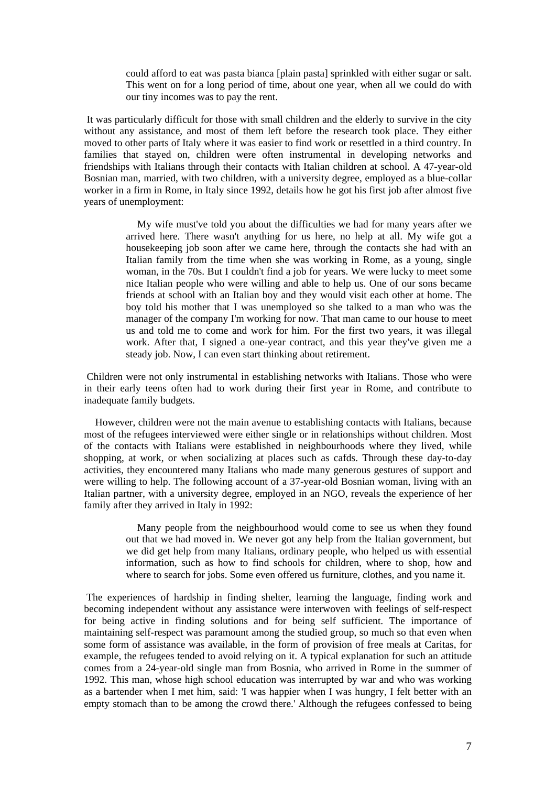could afford to eat was pasta bianca [plain pasta] sprinkled with either sugar or salt. This went on for a long period of time, about one year, when all we could do with our tiny incomes was to pay the rent.

It was particularly difficult for those with small children and the elderly to survive in the city without any assistance, and most of them left before the research took place. They either moved to other parts of Italy where it was easier to find work or resettled in a third country. In families that stayed on, children were often instrumental in developing networks and friendships with Italians through their contacts with Italian children at school. A 47-year-old Bosnian man, married, with two children, with a university degree, employed as a blue-collar worker in a firm in Rome, in Italy since 1992, details how he got his first job after almost five years of unemployment:

> My wife must've told you about the difficulties we had for many years after we arrived here. There wasn't anything for us here, no help at all. My wife got a housekeeping job soon after we came here, through the contacts she had with an Italian family from the time when she was working in Rome, as a young, single woman, in the 70s. But I couldn't find a job for years. We were lucky to meet some nice Italian people who were willing and able to help us. One of our sons became friends at school with an Italian boy and they would visit each other at home. The boy told his mother that I was unemployed so she talked to a man who was the manager of the company I'm working for now. That man came to our house to meet us and told me to come and work for him. For the first two years, it was illegal work. After that, I signed a one-year contract, and this year they've given me a steady job. Now, I can even start thinking about retirement.

Children were not only instrumental in establishing networks with Italians. Those who were in their early teens often had to work during their first year in Rome, and contribute to inadequate family budgets.

 However, children were not the main avenue to establishing contacts with Italians, because most of the refugees interviewed were either single or in relationships without children. Most of the contacts with Italians were established in neighbourhoods where they lived, while shopping, at work, or when socializing at places such as cafds. Through these day-to-day activities, they encountered many Italians who made many generous gestures of support and were willing to help. The following account of a 37-year-old Bosnian woman, living with an Italian partner, with a university degree, employed in an NGO, reveals the experience of her family after they arrived in Italy in 1992:

> Many people from the neighbourhood would come to see us when they found out that we had moved in. We never got any help from the Italian government, but we did get help from many Italians, ordinary people, who helped us with essential information, such as how to find schools for children, where to shop, how and where to search for jobs. Some even offered us furniture, clothes, and you name it.

 The experiences of hardship in finding shelter, learning the language, finding work and becoming independent without any assistance were interwoven with feelings of self-respect for being active in finding solutions and for being self sufficient. The importance of maintaining self-respect was paramount among the studied group, so much so that even when some form of assistance was available, in the form of provision of free meals at Caritas, for example, the refugees tended to avoid relying on it. A typical explanation for such an attitude comes from a 24-year-old single man from Bosnia, who arrived in Rome in the summer of 1992. This man, whose high school education was interrupted by war and who was working as a bartender when I met him, said: 'I was happier when I was hungry, I felt better with an empty stomach than to be among the crowd there.' Although the refugees confessed to being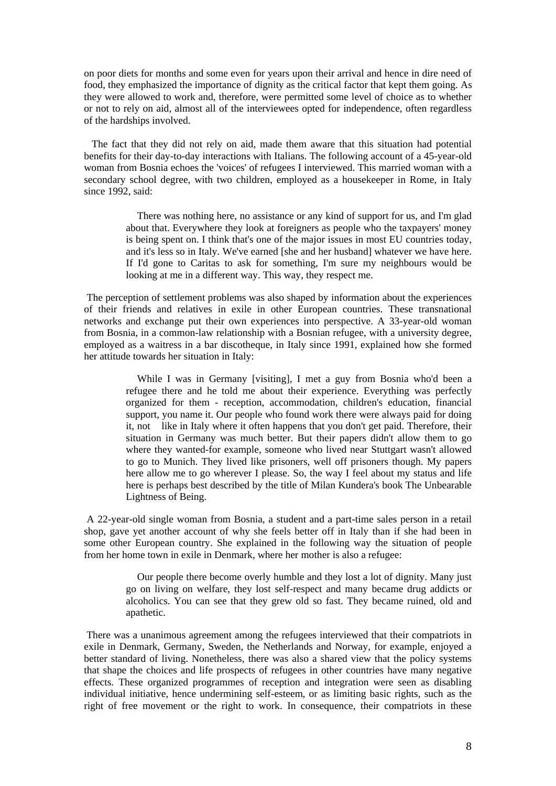on poor diets for months and some even for years upon their arrival and hence in dire need of food, they emphasized the importance of dignity as the critical factor that kept them going. As they were allowed to work and, therefore, were permitted some level of choice as to whether or not to rely on aid, almost all of the interviewees opted for independence, often regardless of the hardships involved.

 The fact that they did not rely on aid, made them aware that this situation had potential benefits for their day-to-day interactions with Italians. The following account of a 45-year-old woman from Bosnia echoes the 'voices' of refugees I interviewed. This married woman with a secondary school degree, with two children, employed as a housekeeper in Rome, in Italy since 1992, said:

> There was nothing here, no assistance or any kind of support for us, and I'm glad about that. Everywhere they look at foreigners as people who the taxpayers' money is being spent on. I think that's one of the major issues in most EU countries today, and it's less so in Italy. We've earned [she and her husband] whatever we have here. If I'd gone to Caritas to ask for something, I'm sure my neighbours would be looking at me in a different way. This way, they respect me.

The perception of settlement problems was also shaped by information about the experiences of their friends and relatives in exile in other European countries. These transnational networks and exchange put their own experiences into perspective. A 33-year-old woman from Bosnia, in a common-law relationship with a Bosnian refugee, with a university degree, employed as a waitress in a bar discotheque, in Italy since 1991, explained how she formed her attitude towards her situation in Italy:

> While I was in Germany [visiting], I met a guy from Bosnia who'd been a refugee there and he told me about their experience. Everything was perfectly organized for them - reception, accommodation, children's education, financial support, you name it. Our people who found work there were always paid for doing it, not like in Italy where it often happens that you don't get paid. Therefore, their situation in Germany was much better. But their papers didn't allow them to go where they wanted-for example, someone who lived near Stuttgart wasn't allowed to go to Munich. They lived like prisoners, well off prisoners though. My papers here allow me to go wherever I please. So, the way I feel about my status and life here is perhaps best described by the title of Milan Kundera's book The Unbearable Lightness of Being.

A 22-year-old single woman from Bosnia, a student and a part-time sales person in a retail shop, gave yet another account of why she feels better off in Italy than if she had been in some other European country. She explained in the following way the situation of people from her home town in exile in Denmark, where her mother is also a refugee:

> Our people there become overly humble and they lost a lot of dignity. Many just go on living on welfare, they lost self-respect and many became drug addicts or alcoholics. You can see that they grew old so fast. They became ruined, old and apathetic.

 There was a unanimous agreement among the refugees interviewed that their compatriots in exile in Denmark, Germany, Sweden, the Netherlands and Norway, for example, enjoyed a better standard of living. Nonetheless, there was also a shared view that the policy systems that shape the choices and life prospects of refugees in other countries have many negative effects. These organized programmes of reception and integration were seen as disabling individual initiative, hence undermining self-esteem, or as limiting basic rights, such as the right of free movement or the right to work. In consequence, their compatriots in these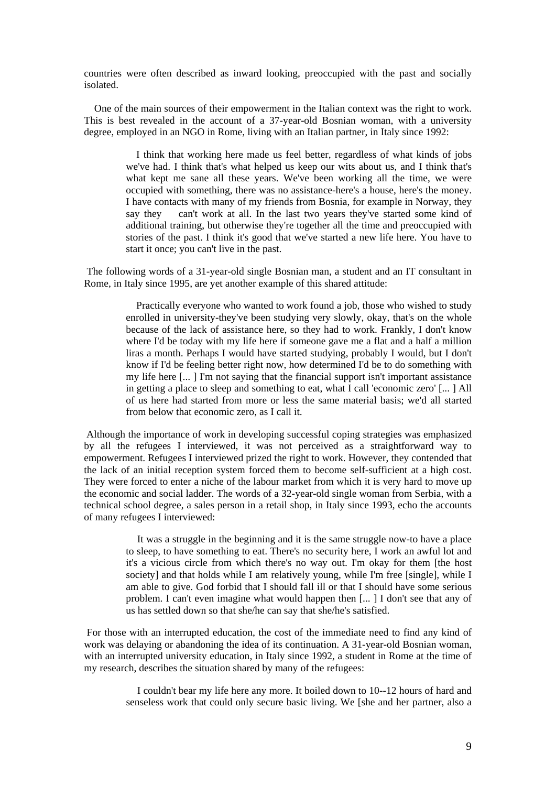countries were often described as inward looking, preoccupied with the past and socially isolated.

 One of the main sources of their empowerment in the Italian context was the right to work. This is best revealed in the account of a 37-year-old Bosnian woman, with a university degree, employed in an NGO in Rome, living with an Italian partner, in Italy since 1992:

> I think that working here made us feel better, regardless of what kinds of jobs we've had. I think that's what helped us keep our wits about us, and I think that's what kept me sane all these years. We've been working all the time, we were occupied with something, there was no assistance-here's a house, here's the money. I have contacts with many of my friends from Bosnia, for example in Norway, they say they can't work at all. In the last two years they've started some kind of additional training, but otherwise they're together all the time and preoccupied with stories of the past. I think it's good that we've started a new life here. You have to start it once; you can't live in the past.

The following words of a 31-year-old single Bosnian man, a student and an IT consultant in Rome, in Italy since 1995, are yet another example of this shared attitude:

> Practically everyone who wanted to work found a job, those who wished to study enrolled in university-they've been studying very slowly, okay, that's on the whole because of the lack of assistance here, so they had to work. Frankly, I don't know where I'd be today with my life here if someone gave me a flat and a half a million liras a month. Perhaps I would have started studying, probably I would, but I don't know if I'd be feeling better right now, how determined I'd be to do something with my life here [... ] I'm not saying that the financial support isn't important assistance in getting a place to sleep and something to eat, what I call 'economic zero' [... ] All of us here had started from more or less the same material basis; we'd all started from below that economic zero, as I call it.

 Although the importance of work in developing successful coping strategies was emphasized by all the refugees I interviewed, it was not perceived as a straightforward way to empowerment. Refugees I interviewed prized the right to work. However, they contended that the lack of an initial reception system forced them to become self-sufficient at a high cost. They were forced to enter a niche of the labour market from which it is very hard to move up the economic and social ladder. The words of a 32-year-old single woman from Serbia, with a technical school degree, a sales person in a retail shop, in Italy since 1993, echo the accounts of many refugees I interviewed:

> It was a struggle in the beginning and it is the same struggle now-to have a place to sleep, to have something to eat. There's no security here, I work an awful lot and it's a vicious circle from which there's no way out. I'm okay for them [the host society] and that holds while I am relatively young, while I'm free [single], while I am able to give. God forbid that I should fall ill or that I should have some serious problem. I can't even imagine what would happen then [... ] I don't see that any of us has settled down so that she/he can say that she/he's satisfied.

For those with an interrupted education, the cost of the immediate need to find any kind of work was delaying or abandoning the idea of its continuation. A 31-year-old Bosnian woman, with an interrupted university education, in Italy since 1992, a student in Rome at the time of my research, describes the situation shared by many of the refugees:

> I couldn't bear my life here any more. It boiled down to 10--12 hours of hard and senseless work that could only secure basic living. We [she and her partner, also a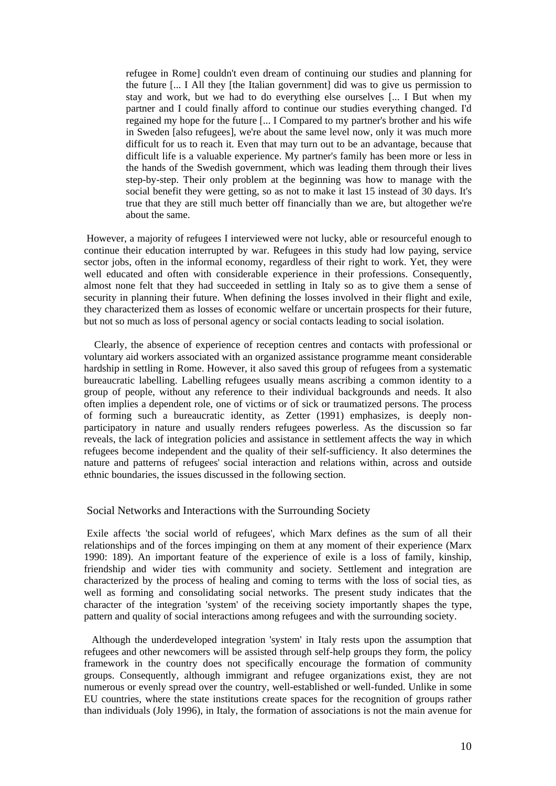refugee in Rome] couldn't even dream of continuing our studies and planning for the future [... I All they [the Italian government] did was to give us permission to stay and work, but we had to do everything else ourselves [... I But when my partner and I could finally afford to continue our studies everything changed. I'd regained my hope for the future [... I Compared to my partner's brother and his wife in Sweden [also refugees], we're about the same level now, only it was much more difficult for us to reach it. Even that may turn out to be an advantage, because that difficult life is a valuable experience. My partner's family has been more or less in the hands of the Swedish government, which was leading them through their lives step-by-step. Their only problem at the beginning was how to manage with the social benefit they were getting, so as not to make it last 15 instead of 30 days. It's true that they are still much better off financially than we are, but altogether we're about the same.

 However, a majority of refugees I interviewed were not lucky, able or resourceful enough to continue their education interrupted by war. Refugees in this study had low paying, service sector jobs, often in the informal economy, regardless of their right to work. Yet, they were well educated and often with considerable experience in their professions. Consequently, almost none felt that they had succeeded in settling in Italy so as to give them a sense of security in planning their future. When defining the losses involved in their flight and exile, they characterized them as losses of economic welfare or uncertain prospects for their future, but not so much as loss of personal agency or social contacts leading to social isolation.

 Clearly, the absence of experience of reception centres and contacts with professional or voluntary aid workers associated with an organized assistance programme meant considerable hardship in settling in Rome. However, it also saved this group of refugees from a systematic bureaucratic labelling. Labelling refugees usually means ascribing a common identity to a group of people, without any reference to their individual backgrounds and needs. It also often implies a dependent role, one of victims or of sick or traumatized persons. The process of forming such a bureaucratic identity, as Zetter (1991) emphasizes, is deeply nonparticipatory in nature and usually renders refugees powerless. As the discussion so far reveals, the lack of integration policies and assistance in settlement affects the way in which refugees become independent and the quality of their self-sufficiency. It also determines the nature and patterns of refugees' social interaction and relations within, across and outside ethnic boundaries, the issues discussed in the following section.

#### Social Networks and Interactions with the Surrounding Society

Exile affects 'the social world of refugees', which Marx defines as the sum of all their relationships and of the forces impinging on them at any moment of their experience (Marx 1990: 189). An important feature of the experience of exile is a loss of family, kinship, friendship and wider ties with community and society. Settlement and integration are characterized by the process of healing and coming to terms with the loss of social ties, as well as forming and consolidating social networks. The present study indicates that the character of the integration 'system' of the receiving society importantly shapes the type, pattern and quality of social interactions among refugees and with the surrounding society.

 Although the underdeveloped integration 'system' in Italy rests upon the assumption that refugees and other newcomers will be assisted through self-help groups they form, the policy framework in the country does not specifically encourage the formation of community groups. Consequently, although immigrant and refugee organizations exist, they are not numerous or evenly spread over the country, well-established or well-funded. Unlike in some EU countries, where the state institutions create spaces for the recognition of groups rather than individuals (Joly 1996), in Italy, the formation of associations is not the main avenue for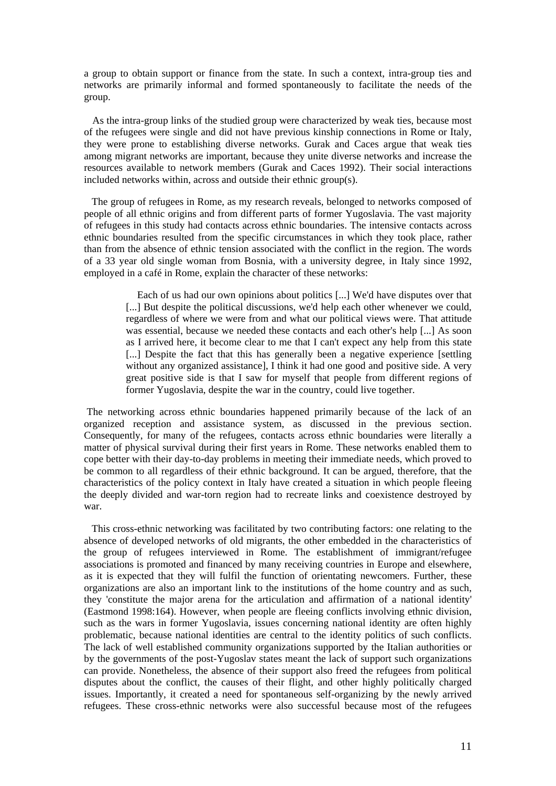a group to obtain support or finance from the state. In such a context, intra-group ties and networks are primarily informal and formed spontaneously to facilitate the needs of the group.

 As the intra-group links of the studied group were characterized by weak ties, because most of the refugees were single and did not have previous kinship connections in Rome or Italy, they were prone to establishing diverse networks. Gurak and Caces argue that weak ties among migrant networks are important, because they unite diverse networks and increase the resources available to network members (Gurak and Caces 1992). Their social interactions included networks within, across and outside their ethnic group(s).

 The group of refugees in Rome, as my research reveals, belonged to networks composed of people of all ethnic origins and from different parts of former Yugoslavia. The vast majority of refugees in this study had contacts across ethnic boundaries. The intensive contacts across ethnic boundaries resulted from the specific circumstances in which they took place, rather than from the absence of ethnic tension associated with the conflict in the region. The words of a 33 year old single woman from Bosnia, with a university degree, in Italy since 1992, employed in a café in Rome, explain the character of these networks:

> Each of us had our own opinions about politics [...] We'd have disputes over that [...] But despite the political discussions, we'd help each other whenever we could, regardless of where we were from and what our political views were. That attitude was essential, because we needed these contacts and each other's help [...] As soon as I arrived here, it become clear to me that I can't expect any help from this state [...] Despite the fact that this has generally been a negative experience [settling] without any organized assistance], I think it had one good and positive side. A very great positive side is that I saw for myself that people from different regions of former Yugoslavia, despite the war in the country, could live together.

The networking across ethnic boundaries happened primarily because of the lack of an organized reception and assistance system, as discussed in the previous section. Consequently, for many of the refugees, contacts across ethnic boundaries were literally a matter of physical survival during their first years in Rome. These networks enabled them to cope better with their day-to-day problems in meeting their immediate needs, which proved to be common to all regardless of their ethnic background. It can be argued, therefore, that the characteristics of the policy context in Italy have created a situation in which people fleeing the deeply divided and war-torn region had to recreate links and coexistence destroyed by war.

 This cross-ethnic networking was facilitated by two contributing factors: one relating to the absence of developed networks of old migrants, the other embedded in the characteristics of the group of refugees interviewed in Rome. The establishment of immigrant/refugee associations is promoted and financed by many receiving countries in Europe and elsewhere, as it is expected that they will fulfil the function of orientating newcomers. Further, these organizations are also an important link to the institutions of the home country and as such, they 'constitute the major arena for the articulation and affirmation of a national identity' (Eastmond 1998:164). However, when people are fleeing conflicts involving ethnic division, such as the wars in former Yugoslavia, issues concerning national identity are often highly problematic, because national identities are central to the identity politics of such conflicts. The lack of well established community organizations supported by the Italian authorities or by the governments of the post-Yugoslav states meant the lack of support such organizations can provide. Nonetheless, the absence of their support also freed the refugees from political disputes about the conflict, the causes of their flight, and other highly politically charged issues. Importantly, it created a need for spontaneous self-organizing by the newly arrived refugees. These cross-ethnic networks were also successful because most of the refugees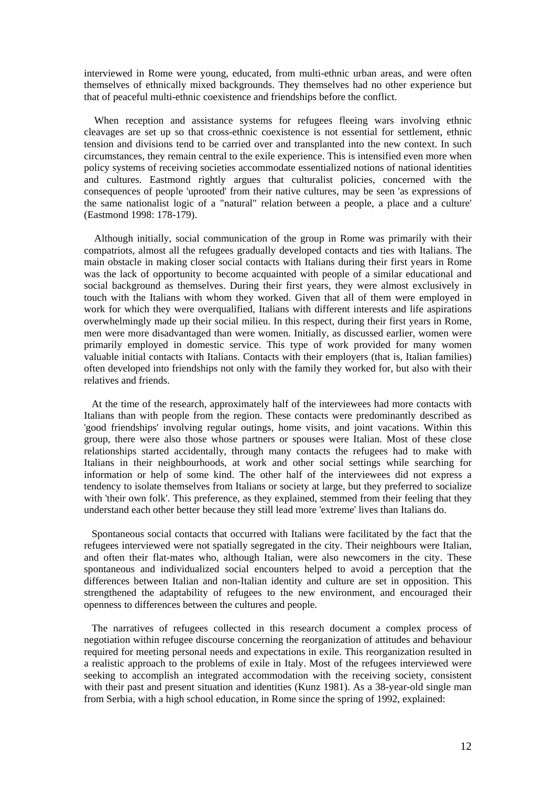interviewed in Rome were young, educated, from multi-ethnic urban areas, and were often themselves of ethnically mixed backgrounds. They themselves had no other experience but that of peaceful multi-ethnic coexistence and friendships before the conflict.

 When reception and assistance systems for refugees fleeing wars involving ethnic cleavages are set up so that cross-ethnic coexistence is not essential for settlement, ethnic tension and divisions tend to be carried over and transplanted into the new context. In such circumstances, they remain central to the exile experience. This is intensified even more when policy systems of receiving societies accommodate essentialized notions of national identities and cultures. Eastmond rightly argues that culturalist policies, concerned with the consequences of people 'uprooted' from their native cultures, may be seen 'as expressions of the same nationalist logic of a "natural" relation between a people, a place and a culture' (Eastmond 1998: 178-179).

 Although initially, social communication of the group in Rome was primarily with their compatriots, almost all the refugees gradually developed contacts and ties with Italians. The main obstacle in making closer social contacts with Italians during their first years in Rome was the lack of opportunity to become acquainted with people of a similar educational and social background as themselves. During their first years, they were almost exclusively in touch with the Italians with whom they worked. Given that all of them were employed in work for which they were overqualified, Italians with different interests and life aspirations overwhelmingly made up their social milieu. In this respect, during their first years in Rome, men were more disadvantaged than were women. Initially, as discussed earlier, women were primarily employed in domestic service. This type of work provided for many women valuable initial contacts with Italians. Contacts with their employers (that is, Italian families) often developed into friendships not only with the family they worked for, but also with their relatives and friends.

 At the time of the research, approximately half of the interviewees had more contacts with Italians than with people from the region. These contacts were predominantly described as 'good friendships' involving regular outings, home visits, and joint vacations. Within this group, there were also those whose partners or spouses were Italian. Most of these close relationships started accidentally, through many contacts the refugees had to make with Italians in their neighbourhoods, at work and other social settings while searching for information or help of some kind. The other half of the interviewees did not express a tendency to isolate themselves from Italians or society at large, but they preferred to socialize with 'their own folk'. This preference, as they explained, stemmed from their feeling that they understand each other better because they still lead more 'extreme' lives than Italians do.

 Spontaneous social contacts that occurred with Italians were facilitated by the fact that the refugees interviewed were not spatially segregated in the city. Their neighbours were Italian, and often their flat-mates who, although Italian, were also newcomers in the city. These spontaneous and individualized social encounters helped to avoid a perception that the differences between Italian and non-Italian identity and culture are set in opposition. This strengthened the adaptability of refugees to the new environment, and encouraged their openness to differences between the cultures and people.

 The narratives of refugees collected in this research document a complex process of negotiation within refugee discourse concerning the reorganization of attitudes and behaviour required for meeting personal needs and expectations in exile. This reorganization resulted in a realistic approach to the problems of exile in Italy. Most of the refugees interviewed were seeking to accomplish an integrated accommodation with the receiving society, consistent with their past and present situation and identities (Kunz 1981). As a 38-year-old single man from Serbia, with a high school education, in Rome since the spring of 1992, explained: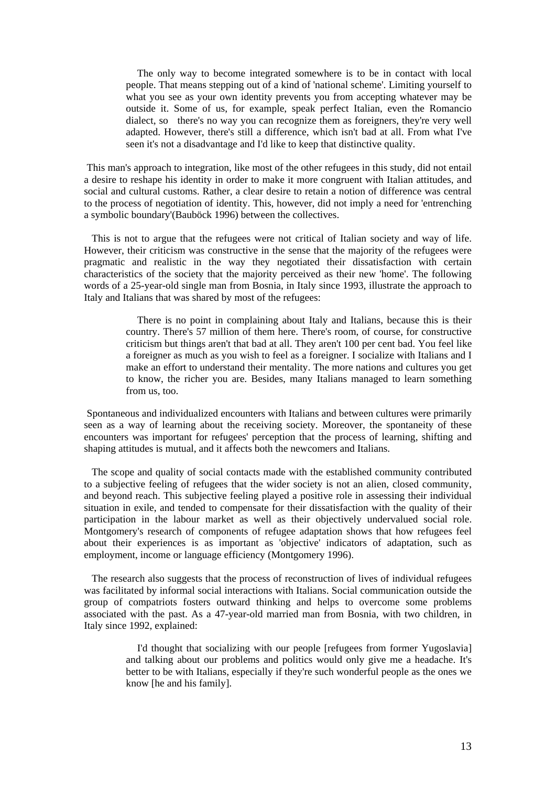The only way to become integrated somewhere is to be in contact with local people. That means stepping out of a kind of 'national scheme'. Limiting yourself to what you see as your own identity prevents you from accepting whatever may be outside it. Some of us, for example, speak perfect Italian, even the Romancio dialect, so there's no way you can recognize them as foreigners, they're very well adapted. However, there's still a difference, which isn't bad at all. From what I've seen it's not a disadvantage and I'd like to keep that distinctive quality.

This man's approach to integration, like most of the other refugees in this study, did not entail a desire to reshape his identity in order to make it more congruent with Italian attitudes, and social and cultural customs. Rather, a clear desire to retain a notion of difference was central to the process of negotiation of identity. This, however, did not imply a need for 'entrenching a symbolic boundary'(Bauböck 1996) between the collectives.

 This is not to argue that the refugees were not critical of Italian society and way of life. However, their criticism was constructive in the sense that the majority of the refugees were pragmatic and realistic in the way they negotiated their dissatisfaction with certain characteristics of the society that the majority perceived as their new 'home'. The following words of a 25-year-old single man from Bosnia, in Italy since 1993, illustrate the approach to Italy and Italians that was shared by most of the refugees:

> There is no point in complaining about Italy and Italians, because this is their country. There's 57 million of them here. There's room, of course, for constructive criticism but things aren't that bad at all. They aren't 100 per cent bad. You feel like a foreigner as much as you wish to feel as a foreigner. I socialize with Italians and I make an effort to understand their mentality. The more nations and cultures you get to know, the richer you are. Besides, many Italians managed to learn something from us, too.

Spontaneous and individualized encounters with Italians and between cultures were primarily seen as a way of learning about the receiving society. Moreover, the spontaneity of these encounters was important for refugees' perception that the process of learning, shifting and shaping attitudes is mutual, and it affects both the newcomers and Italians.

 The scope and quality of social contacts made with the established community contributed to a subjective feeling of refugees that the wider society is not an alien, closed community, and beyond reach. This subjective feeling played a positive role in assessing their individual situation in exile, and tended to compensate for their dissatisfaction with the quality of their participation in the labour market as well as their objectively undervalued social role. Montgomery's research of components of refugee adaptation shows that how refugees feel about their experiences is as important as 'objective' indicators of adaptation, such as employment, income or language efficiency (Montgomery 1996).

 The research also suggests that the process of reconstruction of lives of individual refugees was facilitated by informal social interactions with Italians. Social communication outside the group of compatriots fosters outward thinking and helps to overcome some problems associated with the past. As a 47-year-old married man from Bosnia, with two children, in Italy since 1992, explained:

> I'd thought that socializing with our people [refugees from former Yugoslavia] and talking about our problems and politics would only give me a headache. It's better to be with Italians, especially if they're such wonderful people as the ones we know [he and his family].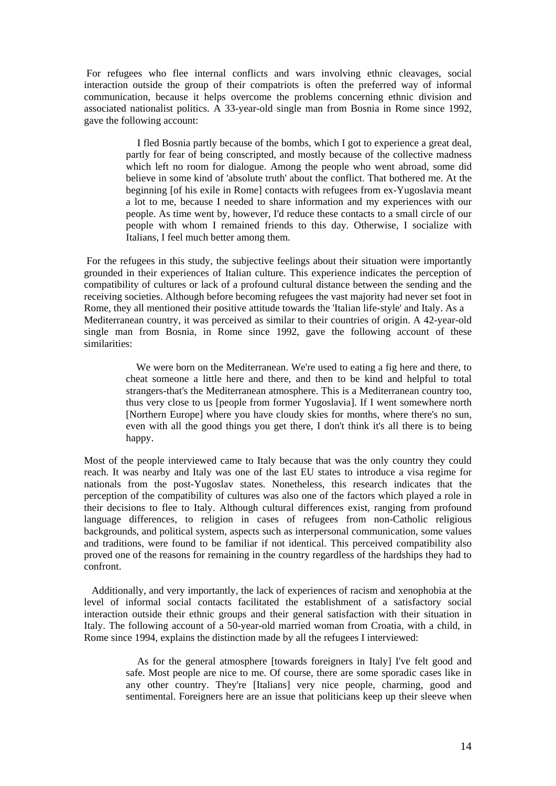For refugees who flee internal conflicts and wars involving ethnic cleavages, social interaction outside the group of their compatriots is often the preferred way of informal communication, because it helps overcome the problems concerning ethnic division and associated nationalist politics. A 33-year-old single man from Bosnia in Rome since 1992, gave the following account:

> I fled Bosnia partly because of the bombs, which I got to experience a great deal, partly for fear of being conscripted, and mostly because of the collective madness which left no room for dialogue. Among the people who went abroad, some did believe in some kind of 'absolute truth' about the conflict. That bothered me. At the beginning [of his exile in Rome] contacts with refugees from ex-Yugoslavia meant a lot to me, because I needed to share information and my experiences with our people. As time went by, however, I'd reduce these contacts to a small circle of our people with whom I remained friends to this day. Otherwise, I socialize with Italians, I feel much better among them.

 For the refugees in this study, the subjective feelings about their situation were importantly grounded in their experiences of Italian culture. This experience indicates the perception of compatibility of cultures or lack of a profound cultural distance between the sending and the receiving societies. Although before becoming refugees the vast majority had never set foot in Rome, they all mentioned their positive attitude towards the 'Italian life-style' and Italy. As a Mediterranean country, it was perceived as similar to their countries of origin. A 42-year-old single man from Bosnia, in Rome since 1992, gave the following account of these similarities:

> We were born on the Mediterranean. We're used to eating a fig here and there, to cheat someone a little here and there, and then to be kind and helpful to total strangers-that's the Mediterranean atmosphere. This is a Mediterranean country too, thus very close to us [people from former Yugoslavia]. If I went somewhere north [Northern Europe] where you have cloudy skies for months, where there's no sun, even with all the good things you get there, I don't think it's all there is to being happy.

Most of the people interviewed came to Italy because that was the only country they could reach. It was nearby and Italy was one of the last EU states to introduce a visa regime for nationals from the post-Yugoslav states. Nonetheless, this research indicates that the perception of the compatibility of cultures was also one of the factors which played a role in their decisions to flee to Italy. Although cultural differences exist, ranging from profound language differences, to religion in cases of refugees from non-Catholic religious backgrounds, and political system, aspects such as interpersonal communication, some values and traditions, were found to be familiar if not identical. This perceived compatibility also proved one of the reasons for remaining in the country regardless of the hardships they had to confront.

 Additionally, and very importantly, the lack of experiences of racism and xenophobia at the level of informal social contacts facilitated the establishment of a satisfactory social interaction outside their ethnic groups and their general satisfaction with their situation in Italy. The following account of a 50-year-old married woman from Croatia, with a child, in Rome since 1994, explains the distinction made by all the refugees I interviewed:

> As for the general atmosphere [towards foreigners in Italy] I've felt good and safe. Most people are nice to me. Of course, there are some sporadic cases like in any other country. They're [Italians] very nice people, charming, good and sentimental. Foreigners here are an issue that politicians keep up their sleeve when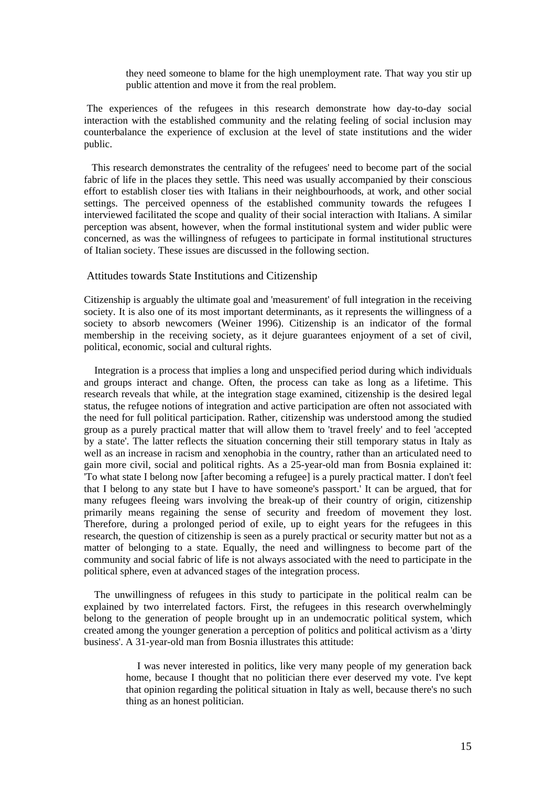they need someone to blame for the high unemployment rate. That way you stir up public attention and move it from the real problem.

The experiences of the refugees in this research demonstrate how day-to-day social interaction with the established community and the relating feeling of social inclusion may counterbalance the experience of exclusion at the level of state institutions and the wider public.

 This research demonstrates the centrality of the refugees' need to become part of the social fabric of life in the places they settle. This need was usually accompanied by their conscious effort to establish closer ties with Italians in their neighbourhoods, at work, and other social settings. The perceived openness of the established community towards the refugees I interviewed facilitated the scope and quality of their social interaction with Italians. A similar perception was absent, however, when the formal institutional system and wider public were concerned, as was the willingness of refugees to participate in formal institutional structures of Italian society. These issues are discussed in the following section.

#### Attitudes towards State Institutions and Citizenship

Citizenship is arguably the ultimate goal and 'measurement' of full integration in the receiving society. It is also one of its most important determinants, as it represents the willingness of a society to absorb newcomers (Weiner 1996). Citizenship is an indicator of the formal membership in the receiving society, as it dejure guarantees enjoyment of a set of civil, political, economic, social and cultural rights.

 Integration is a process that implies a long and unspecified period during which individuals and groups interact and change. Often, the process can take as long as a lifetime. This research reveals that while, at the integration stage examined, citizenship is the desired legal status, the refugee notions of integration and active participation are often not associated with the need for full political participation. Rather, citizenship was understood among the studied group as a purely practical matter that will allow them to 'travel freely' and to feel 'accepted by a state'. The latter reflects the situation concerning their still temporary status in Italy as well as an increase in racism and xenophobia in the country, rather than an articulated need to gain more civil, social and political rights. As a 25-year-old man from Bosnia explained it: 'To what state I belong now [after becoming a refugee] is a purely practical matter. I don't feel that I belong to any state but I have to have someone's passport.' It can be argued, that for many refugees fleeing wars involving the break-up of their country of origin, citizenship primarily means regaining the sense of security and freedom of movement they lost. Therefore, during a prolonged period of exile, up to eight years for the refugees in this research, the question of citizenship is seen as a purely practical or security matter but not as a matter of belonging to a state. Equally, the need and willingness to become part of the community and social fabric of life is not always associated with the need to participate in the political sphere, even at advanced stages of the integration process.

 The unwillingness of refugees in this study to participate in the political realm can be explained by two interrelated factors. First, the refugees in this research overwhelmingly belong to the generation of people brought up in an undemocratic political system, which created among the younger generation a perception of politics and political activism as a 'dirty business'. A 31-year-old man from Bosnia illustrates this attitude:

> I was never interested in politics, like very many people of my generation back home, because I thought that no politician there ever deserved my vote. I've kept that opinion regarding the political situation in Italy as well, because there's no such thing as an honest politician.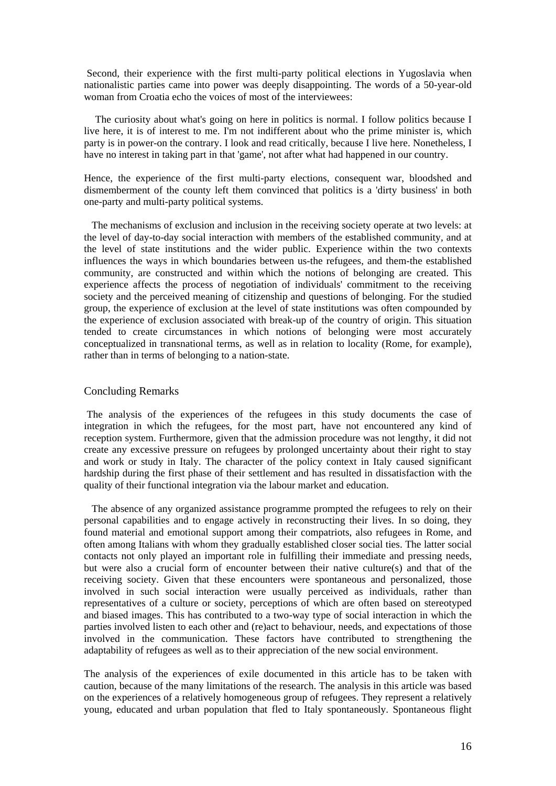Second, their experience with the first multi-party political elections in Yugoslavia when nationalistic parties came into power was deeply disappointing. The words of a 50-year-old woman from Croatia echo the voices of most of the interviewees:

 The curiosity about what's going on here in politics is normal. I follow politics because I live here, it is of interest to me. I'm not indifferent about who the prime minister is, which party is in power-on the contrary. I look and read critically, because I live here. Nonetheless, I have no interest in taking part in that 'game', not after what had happened in our country.

Hence, the experience of the first multi-party elections, consequent war, bloodshed and dismemberment of the county left them convinced that politics is a 'dirty business' in both one-party and multi-party political systems.

 The mechanisms of exclusion and inclusion in the receiving society operate at two levels: at the level of day-to-day social interaction with members of the established community, and at the level of state institutions and the wider public. Experience within the two contexts influences the ways in which boundaries between us-the refugees, and them-the established community, are constructed and within which the notions of belonging are created. This experience affects the process of negotiation of individuals' commitment to the receiving society and the perceived meaning of citizenship and questions of belonging. For the studied group, the experience of exclusion at the level of state institutions was often compounded by the experience of exclusion associated with break-up of the country of origin. This situation tended to create circumstances in which notions of belonging were most accurately conceptualized in transnational terms, as well as in relation to locality (Rome, for example), rather than in terms of belonging to a nation-state.

#### Concluding Remarks

The analysis of the experiences of the refugees in this study documents the case of integration in which the refugees, for the most part, have not encountered any kind of reception system. Furthermore, given that the admission procedure was not lengthy, it did not create any excessive pressure on refugees by prolonged uncertainty about their right to stay and work or study in Italy. The character of the policy context in Italy caused significant hardship during the first phase of their settlement and has resulted in dissatisfaction with the quality of their functional integration via the labour market and education.

 The absence of any organized assistance programme prompted the refugees to rely on their personal capabilities and to engage actively in reconstructing their lives. In so doing, they found material and emotional support among their compatriots, also refugees in Rome, and often among Italians with whom they gradually established closer social ties. The latter social contacts not only played an important role in fulfilling their immediate and pressing needs, but were also a crucial form of encounter between their native culture(s) and that of the receiving society. Given that these encounters were spontaneous and personalized, those involved in such social interaction were usually perceived as individuals, rather than representatives of a culture or society, perceptions of which are often based on stereotyped and biased images. This has contributed to a two-way type of social interaction in which the parties involved listen to each other and (re)act to behaviour, needs, and expectations of those involved in the communication. These factors have contributed to strengthening the adaptability of refugees as well as to their appreciation of the new social environment.

The analysis of the experiences of exile documented in this article has to be taken with caution, because of the many limitations of the research. The analysis in this article was based on the experiences of a relatively homogeneous group of refugees. They represent a relatively young, educated and urban population that fled to Italy spontaneously. Spontaneous flight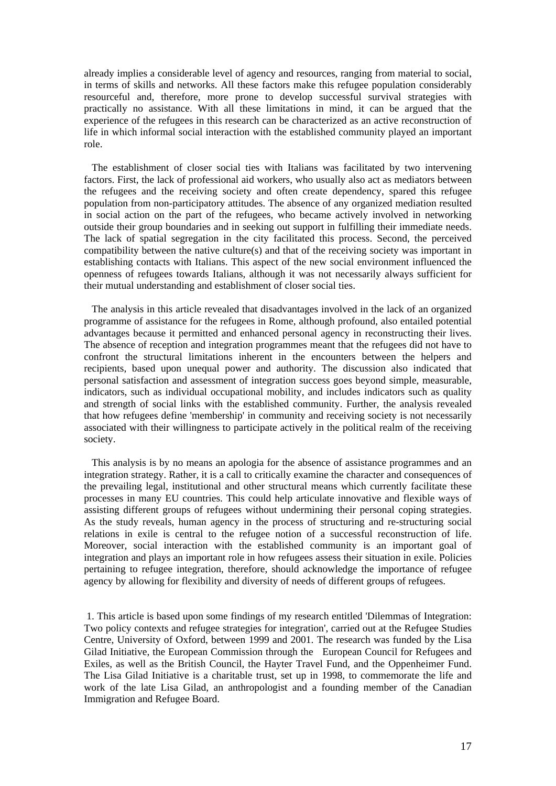already implies a considerable level of agency and resources, ranging from material to social, in terms of skills and networks. All these factors make this refugee population considerably resourceful and, therefore, more prone to develop successful survival strategies with practically no assistance. With all these limitations in mind, it can be argued that the experience of the refugees in this research can be characterized as an active reconstruction of life in which informal social interaction with the established community played an important role.

 The establishment of closer social ties with Italians was facilitated by two intervening factors. First, the lack of professional aid workers, who usually also act as mediators between the refugees and the receiving society and often create dependency, spared this refugee population from non-participatory attitudes. The absence of any organized mediation resulted in social action on the part of the refugees, who became actively involved in networking outside their group boundaries and in seeking out support in fulfilling their immediate needs. The lack of spatial segregation in the city facilitated this process. Second, the perceived compatibility between the native culture(s) and that of the receiving society was important in establishing contacts with Italians. This aspect of the new social environment influenced the openness of refugees towards Italians, although it was not necessarily always sufficient for their mutual understanding and establishment of closer social ties.

 The analysis in this article revealed that disadvantages involved in the lack of an organized programme of assistance for the refugees in Rome, although profound, also entailed potential advantages because it permitted and enhanced personal agency in reconstructing their lives. The absence of reception and integration programmes meant that the refugees did not have to confront the structural limitations inherent in the encounters between the helpers and recipients, based upon unequal power and authority. The discussion also indicated that personal satisfaction and assessment of integration success goes beyond simple, measurable, indicators, such as individual occupational mobility, and includes indicators such as quality and strength of social links with the established community. Further, the analysis revealed that how refugees define 'membership' in community and receiving society is not necessarily associated with their willingness to participate actively in the political realm of the receiving society.

 This analysis is by no means an apologia for the absence of assistance programmes and an integration strategy. Rather, it is a call to critically examine the character and consequences of the prevailing legal, institutional and other structural means which currently facilitate these processes in many EU countries. This could help articulate innovative and flexible ways of assisting different groups of refugees without undermining their personal coping strategies. As the study reveals, human agency in the process of structuring and re-structuring social relations in exile is central to the refugee notion of a successful reconstruction of life. Moreover, social interaction with the established community is an important goal of integration and plays an important role in how refugees assess their situation in exile. Policies pertaining to refugee integration, therefore, should acknowledge the importance of refugee agency by allowing for flexibility and diversity of needs of different groups of refugees.

 1. This article is based upon some findings of my research entitled 'Dilemmas of Integration: Two policy contexts and refugee strategies for integration', carried out at the Refugee Studies Centre, University of Oxford, between 1999 and 2001. The research was funded by the Lisa Gilad Initiative, the European Commission through the European Council for Refugees and Exiles, as well as the British Council, the Hayter Travel Fund, and the Oppenheimer Fund. The Lisa Gilad Initiative is a charitable trust, set up in 1998, to commemorate the life and work of the late Lisa Gilad, an anthropologist and a founding member of the Canadian Immigration and Refugee Board.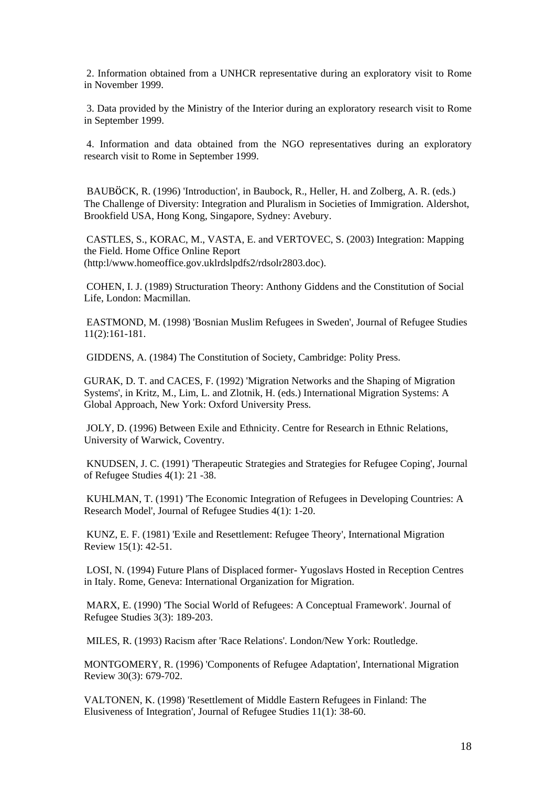2. Information obtained from a UNHCR representative during an exploratory visit to Rome in November 1999.

 3. Data provided by the Ministry of the Interior during an exploratory research visit to Rome in September 1999.

 4. Information and data obtained from the NGO representatives during an exploratory research visit to Rome in September 1999.

BAUBöCK, R. (1996) 'Introduction', in Baubock, R., Heller, H. and Zolberg, A. R. (eds.) The Challenge of Diversity: Integration and Pluralism in Societies of Immigration. Aldershot, Brookfield USA, Hong Kong, Singapore, Sydney: Avebury.

 CASTLES, S., KORAC, M., VASTA, E. and VERTOVEC, S. (2003) Integration: Mapping the Field. Home Office Online Report (http:l/www.homeoffice.gov.uklrdslpdfs2/rdsolr2803.doc).

 COHEN, I. J. (1989) Structuration Theory: Anthony Giddens and the Constitution of Social Life, London: Macmillan.

 EASTMOND, M. (1998) 'Bosnian Muslim Refugees in Sweden', Journal of Refugee Studies 11(2):161-181.

GIDDENS, A. (1984) The Constitution of Society, Cambridge: Polity Press.

GURAK, D. T. and CACES, F. (1992) 'Migration Networks and the Shaping of Migration Systems', in Kritz, M., Lim, L. and Zlotnik, H. (eds.) International Migration Systems: A Global Approach, New York: Oxford University Press.

 JOLY, D. (1996) Between Exile and Ethnicity. Centre for Research in Ethnic Relations, University of Warwick, Coventry.

 KNUDSEN, J. C. (1991) 'Therapeutic Strategies and Strategies for Refugee Coping', Journal of Refugee Studies 4(1): 21 -38.

 KUHLMAN, T. (1991) 'The Economic Integration of Refugees in Developing Countries: A Research Model', Journal of Refugee Studies 4(1): 1-20.

 KUNZ, E. F. (1981) 'Exile and Resettlement: Refugee Theory', International Migration Review 15(1): 42-51.

 LOSI, N. (1994) Future Plans of Displaced former- Yugoslavs Hosted in Reception Centres in Italy. Rome, Geneva: International Organization for Migration.

 MARX, E. (1990) 'The Social World of Refugees: A Conceptual Framework'. Journal of Refugee Studies 3(3): 189-203.

MILES, R. (1993) Racism after 'Race Relations'. London/New York: Routledge.

MONTGOMERY, R. (1996) 'Components of Refugee Adaptation', International Migration Review 30(3): 679-702.

VALTONEN, K. (1998) 'Resettlement of Middle Eastern Refugees in Finland: The Elusiveness of Integration', Journal of Refugee Studies 11(1): 38-60.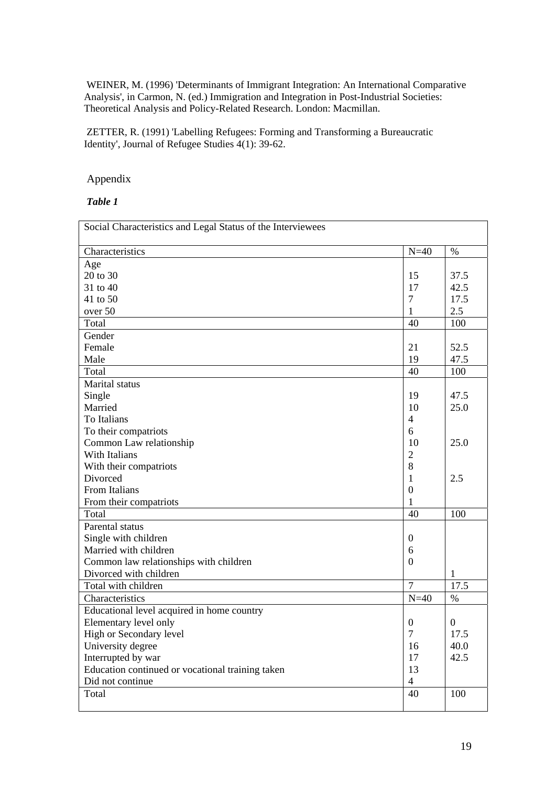WEINER, M. (1996) 'Determinants of Immigrant Integration: An International Comparative Analysis', in Carmon, N. (ed.) Immigration and Integration in Post-Industrial Societies: Theoretical Analysis and Policy-Related Research. London: Macmillan.

 ZETTER, R. (1991) 'Labelling Refugees: Forming and Transforming a Bureaucratic Identity', Journal of Refugee Studies 4(1): 39-62.

### Appendix

# *Table 1*

| Social Characteristics and Legal Status of the Interviewees |                |          |  |
|-------------------------------------------------------------|----------------|----------|--|
| Characteristics                                             | $N=40$         | $\%$     |  |
| Age                                                         |                |          |  |
| 20 to 30                                                    | 15             | 37.5     |  |
| 31 to 40                                                    | 17             | 42.5     |  |
| 41 to 50                                                    | $\overline{7}$ | 17.5     |  |
| over 50                                                     | 1              | 2.5      |  |
| Total                                                       | 40             | 100      |  |
| Gender                                                      |                |          |  |
| Female                                                      | 21             | 52.5     |  |
| Male                                                        | 19             | 47.5     |  |
| Total                                                       | 40             | 100      |  |
| Marital status                                              |                |          |  |
| Single                                                      | 19             | 47.5     |  |
| Married                                                     | 10             | 25.0     |  |
| To Italians                                                 | $\overline{4}$ |          |  |
| To their compatriots                                        | 6              |          |  |
| Common Law relationship                                     | 10             | 25.0     |  |
| <b>With Italians</b>                                        | $\overline{2}$ |          |  |
| With their compatriots                                      | 8              |          |  |
| <b>Divorced</b>                                             | 1              | 2.5      |  |
| <b>From Italians</b>                                        | $\overline{0}$ |          |  |
| From their compatriots                                      | 1              |          |  |
| Total                                                       | 40             | 100      |  |
| Parental status                                             |                |          |  |
| Single with children                                        | 0              |          |  |
| Married with children                                       | 6              |          |  |
| Common law relationships with children                      | $\overline{0}$ |          |  |
| Divorced with children                                      |                | 1        |  |
| Total with children                                         | $\overline{7}$ | 17.5     |  |
| Characteristics                                             | $N=40$         | $\%$     |  |
| Educational level acquired in home country                  |                |          |  |
| Elementary level only                                       | $\overline{0}$ | $\Omega$ |  |
| High or Secondary level                                     | $\overline{7}$ | 17.5     |  |
| University degree                                           | 16             | 40.0     |  |
| Interrupted by war                                          | 17             | 42.5     |  |
| Education continued or vocational training taken            | 13             |          |  |
| Did not continue                                            | $\overline{4}$ |          |  |
| Total                                                       | 40             | 100      |  |
|                                                             |                |          |  |